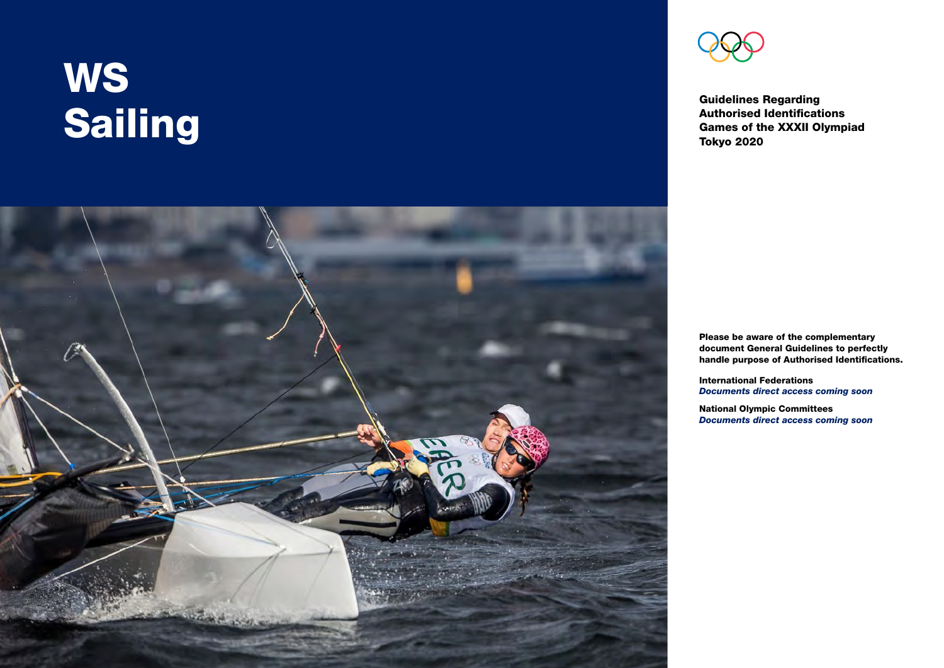# **WS** Sailing



Guidelines Regarding Authorised Identifications Games of the XXXII Olympiad Tokyo 2020

Please be aware of the complementary document General Guidelines to perfectly handle purpose of Authorised Identifications.

International Federations *Documents direct access coming soon*

National Olympic Committees *Documents direct access coming soon*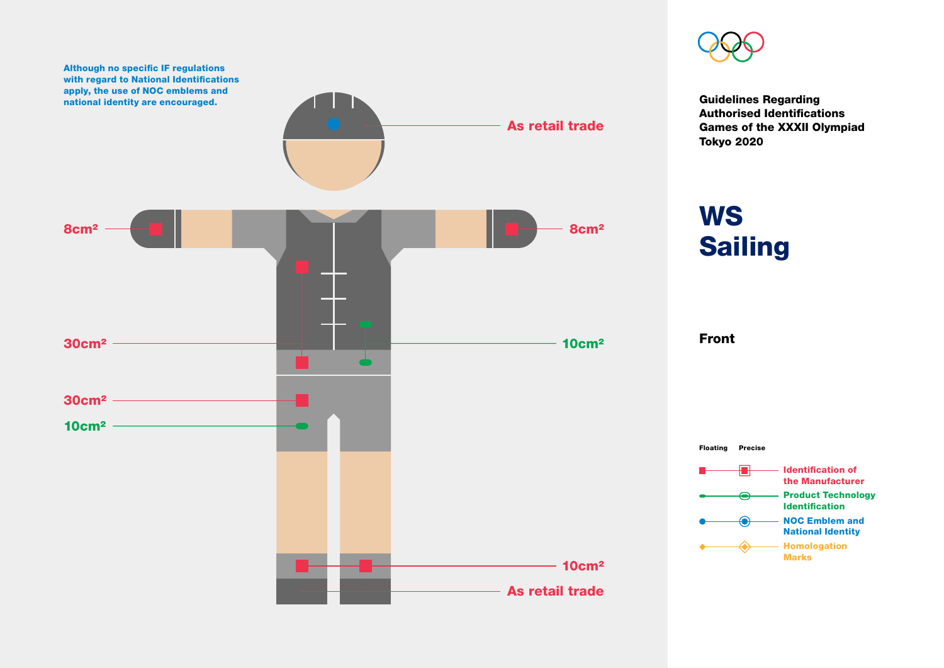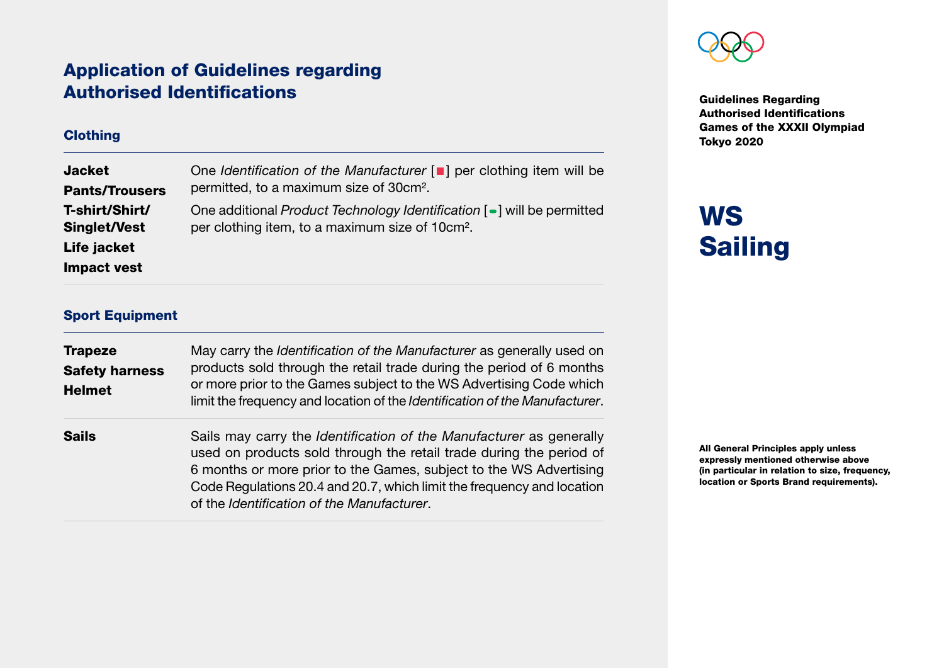### Application of Guidelines regarding Authorised Identifications

#### **Clothing**

| <b>Jacket</b>         | One Identification of the Manufacturer [I] per clothing item will be   |
|-----------------------|------------------------------------------------------------------------|
| <b>Pants/Trousers</b> | permitted, to a maximum size of 30cm <sup>2</sup> .                    |
| T-shirt/Shirt/        | One additional Product Technology Identification [-] will be permitted |
| <b>Singlet/Vest</b>   | per clothing item, to a maximum size of 10cm <sup>2</sup> .            |
| Life jacket           |                                                                        |
| Impact vest           |                                                                        |



Guidelines Regarding Authorised Identifications Games of the XXXII Olympiad Tokyo 2020

### **WS** Sailing

#### Sport Equipment

| <b>Trapeze</b><br><b>Safety harness</b><br><b>Helmet</b> | May carry the Identification of the Manufacturer as generally used on<br>products sold through the retail trade during the period of 6 months<br>or more prior to the Games subject to the WS Advertising Code which<br>limit the frequency and location of the Identification of the Manufacturer.                                      |
|----------------------------------------------------------|------------------------------------------------------------------------------------------------------------------------------------------------------------------------------------------------------------------------------------------------------------------------------------------------------------------------------------------|
| <b>Sails</b>                                             | Sails may carry the Identification of the Manufacturer as generally<br>used on products sold through the retail trade during the period of<br>6 months or more prior to the Games, subject to the WS Advertising<br>Code Regulations 20.4 and 20.7, which limit the frequency and location<br>of the Identification of the Manufacturer. |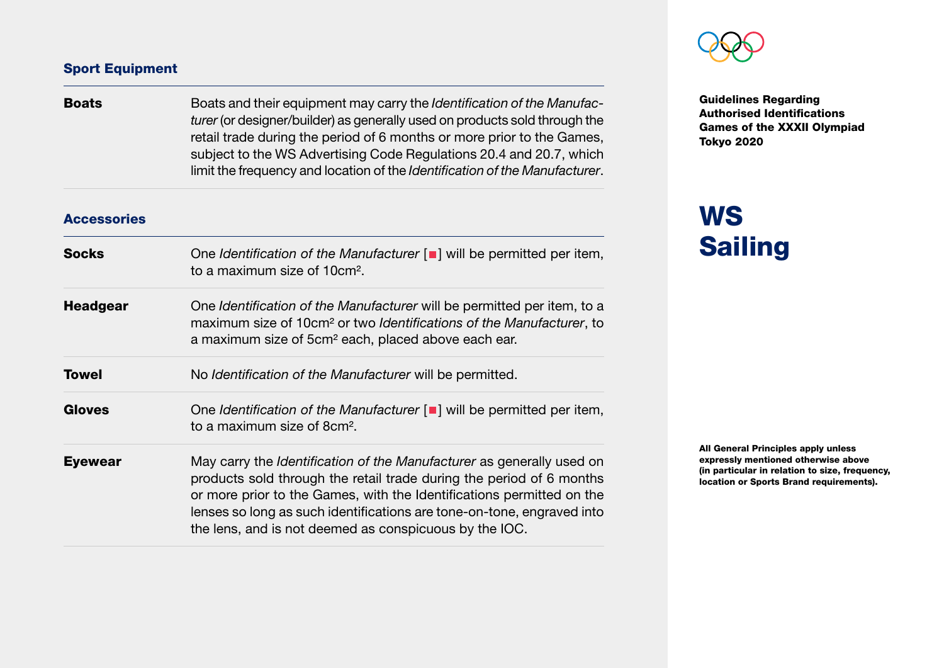#### Sport Equipment

| <b>Boats</b>       | Boats and their equipment may carry the Identification of the Manufac-<br>turer (or designer/builder) as generally used on products sold through the<br>retail trade during the period of 6 months or more prior to the Games,<br>subject to the WS Advertising Code Regulations 20.4 and 20.7, which<br>limit the frequency and location of the Identification of the Manufacturer. |
|--------------------|--------------------------------------------------------------------------------------------------------------------------------------------------------------------------------------------------------------------------------------------------------------------------------------------------------------------------------------------------------------------------------------|
| <b>Accessories</b> |                                                                                                                                                                                                                                                                                                                                                                                      |
| <b>Socks</b>       | One Identification of the Manufacturer $\lceil \blacksquare \rceil$ will be permitted per item,<br>to a maximum size of 10cm <sup>2</sup> .                                                                                                                                                                                                                                          |
| <b>Headgear</b>    | One Identification of the Manufacturer will be permitted per item, to a<br>maximum size of 10cm <sup>2</sup> or two Identifications of the Manufacturer, to<br>a maximum size of 5cm <sup>2</sup> each, placed above each ear.                                                                                                                                                       |
| <b>Towel</b>       | No Identification of the Manufacturer will be permitted.                                                                                                                                                                                                                                                                                                                             |
| <b>Gloves</b>      | One Identification of the Manufacturer $\lceil \blacksquare \rceil$ will be permitted per item,<br>to a maximum size of 8cm <sup>2</sup> .                                                                                                                                                                                                                                           |
| <b>Eyewear</b>     | May carry the Identification of the Manufacturer as generally used on<br>products sold through the retail trade during the period of 6 months<br>or more prior to the Games, with the Identifications permitted on the<br>lenses so long as such identifications are tone-on-tone, engraved into<br>the lens, and is not deemed as conspicuous by the IOC.                           |



Guidelines Regarding Authorised Identifications Games of the XXXII Olympiad Tokyo 2020

### **WS** Sailing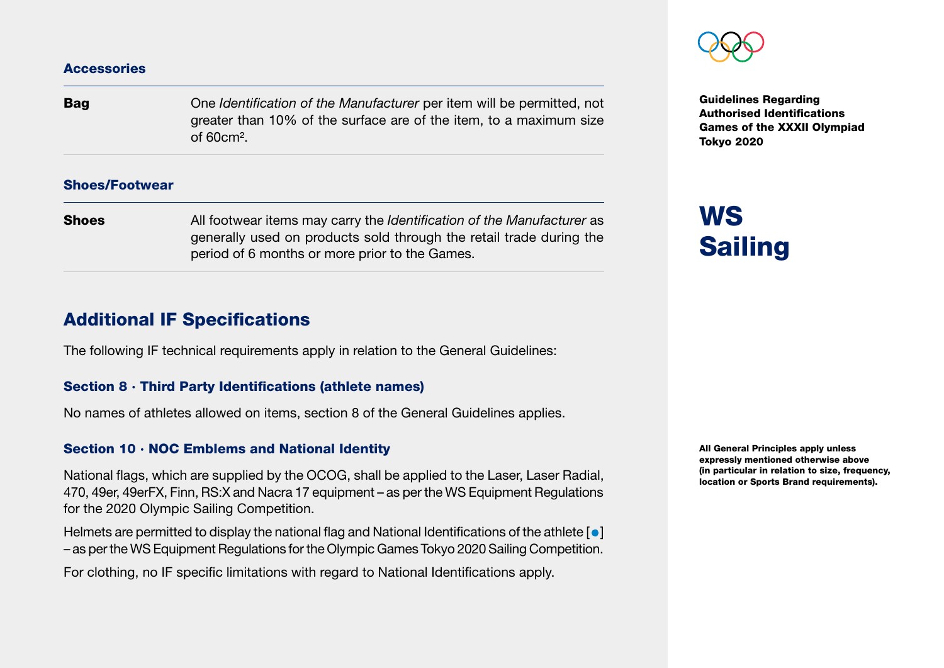#### **Accessories**

**Bag** One *Identification of the Manufacturer* per item will be permitted, not greater than 10% of the surface are of the item, to a maximum size of 60cm².

#### Shoes/Footwear

**Shoes** All footwear items may carry the *Identification of the Manufacturer* as generally used on products sold through the retail trade during the period of 6 months or more prior to the Games.

#### Additional IF Specifications

The following IF technical requirements apply in relation to the General Guidelines:

#### Section 8 · Third Party Identifications (athlete names)

No names of athletes allowed on items, section 8 of the General Guidelines applies.

#### Section 10 · NOC Emblems and National Identity

National flags, which are supplied by the OCOG, shall be applied to the Laser, Laser Radial, 470, 49er, 49erFX, Finn, RS:X and Nacra 17 equipment – as per the WS Equipment Regulations for the 2020 Olympic Sailing Competition.

Helmets are permitted to display the national flag and National Identifications of the athlete  $\lceil \bullet \rceil$ – as per the WS Equipment Regulations for the Olympic Games Tokyo 2020 Sailing Competition.

For clothing, no IF specific limitations with regard to National Identifications apply.

Guidelines Regarding Authorised Identifications Games of the XXXII Olympiad Tokyo 2020

## **WS Sailing**